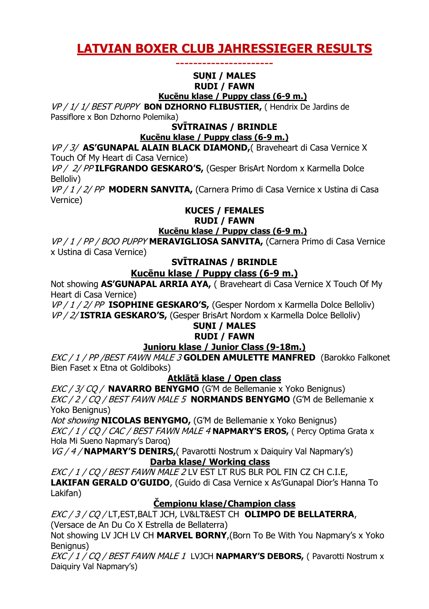# **LATVIAN BOXER CLUB JAHRESSIEGER RESULTS**

# ----------------------

#### **SUNI / MALES RUDI / FAWN**

**Kucēnu klase / Puppy class (6-9 m.)**

VP / 1/ 1/ BEST PUPPY **BON DZHORNO FLIBUSTIER,** ( Hendrix De Jardins de Passiflore x Bon Dzhorno Polemika)

### **SVĪTRAINAS / BRINDLE**

#### **Kucēnu klase / Puppy class (6-9 m.)**

VP / 3/ **AS'GUNAPAL ALAIN BLACK DIAMOND,**( Braveheart di Casa Vernice X Touch Of My Heart di Casa Vernice)

VP / 2/ PP **ILFGRANDO GESKARO'S,** (Gesper BrisArt Nordom x Karmella Dolce Belloliv)

VP / 1 / 2/ PP **MODERN SANVITA,** (Carnera Primo di Casa Vernice x Ustina di Casa Vernice)

# **KUCES / FEMALES**

#### **RUDI / FAWN**

#### **Kucēnu klase / Puppy class (6-9 m.)**

VP / 1 / PP / BOO PUPPY **MERAVIGLIOSA SANVITA,** (Carnera Primo di Casa Vernice x Ustina di Casa Vernice)

# **SVĪTRAINAS / BRINDLE**

# **Kucēnu klase / Puppy class (6-9 m.)**

Not showing **AS'GUNAPAL ARRIA AYA,** ( Braveheart di Casa Vernice X Touch Of My Heart di Casa Vernice)

VP / 1 / 2/ PP **ISOPHINE GESKARO'S,** (Gesper Nordom x Karmella Dolce Belloliv) VP / 2/ **ISTRIA GESKARO'S,** (Gesper BrisArt Nordom x Karmella Dolce Belloliv)

# **SUNI / MALES**

# **RUDI / FAWN**

# **Junioru klase / Junior Class (9-18m.)**

EXC / 1 / PP /BEST FAWN MALE 3 **GOLDEN AMULETTE MANFRED** (Barokko Falkonet Bien Faset x Etna ot Goldiboks)

# **Atklātā klase / Open class**

EXC / 3/ CQ / **NAVARRO BENYGMO** (G'M de Bellemanie x Yoko Benignus) EXC / 2 / CQ / BEST FAWN MALE 5 **NORMANDS BENYGMO** (G'M de Bellemanie x Yoko Benignus)

Not showing **NICOLAS BENYGMO,** (G'M de Bellemanie x Yoko Benignus) EXC / 1 / CQ / CAC / BEST FAWN MALE 4 **NAPMARY'S EROS,** ( Percy Optima Grata x Hola Mi Sueno Napmary's Daroq)

VG / 4 / **NAPMARY'S DENIRS,**( Pavarotti Nostrum x Daiquiry Val Napmary's) **Darba klase/ Working class**

EXC / 1 / CQ / BEST FAWN MALE 2 LV EST LT RUS BLR POL FIN CZ CH C.I.E, **LAKIFAN GERALD O'GUIDO**, (Guido di Casa Vernice x As'Gunapal Dior's Hanna To Lakifan)

# **Čempionu klase/Champion class**

EXC / 3 / CQ / LT,EST,BALT JCH, LV&LT&EST CH **OLIMPO DE BELLATERRA**, (Versace de An Du Co X Estrella de Bellaterra)

Not showing LV JCH LV CH **MARVEL BORNY**,(Born To Be With You Napmary's x Yoko Benianus)

EXC / 1 / CQ / BEST FAWN MALE 1 LVJCH **NAPMARY'S DEBORS,** ( Pavarotti Nostrum x Daiquiry Val Napmary's)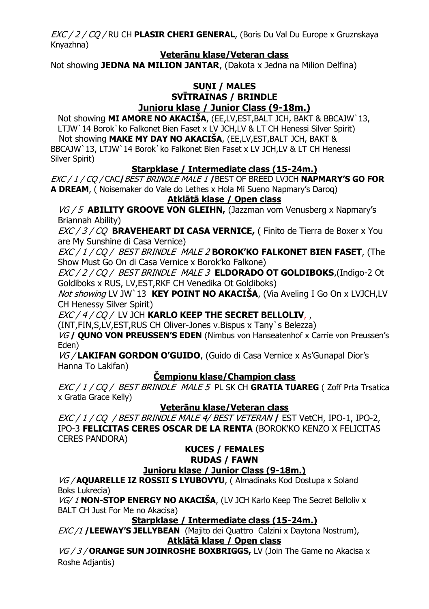EXC / 2 / CQ / RU CH **PLASIR CHERI GENERAL**, (Boris Du Val Du Europe x Gruznskaya Knyazhna)

### **Veterānu klase/Veteran class**

Not showing **JEDNA NA MILION JANTAR**, (Dakota x Jedna na Milion Delfina)

## **SUNI / MALES SVĪTRAINAS / BRINDLE Junioru klase / Junior Class (9-18m.)**

Not showing **MI AMORE NO AKACIŠA**, (EE,LV,EST,BALT JCH, BAKT & BBCAJW`13, LTJW`14 Borok`ko Falkonet Bien Faset x LV JCH,LV & LT CH Henessi Silver Spirit) Not showing **MAKE MY DAY NO AKACIŠA**, (EE,LV,EST,BALT JCH, BAKT & BBCAJW`13, LTJW`14 Borok`ko Falkonet Bien Faset x LV JCH,LV & LT CH Henessi Silver Spirit)

# **Starpklase / Intermediate class (15-24m.)**

EXC / 1 / CQ / CAC**/**BEST BRINDLE MALE 1 **/**BEST OF BREED LVJCH **NAPMARY'S GO FOR A DREAM**, ( Noisemaker do Vale do Lethes x Hola Mi Sueno Napmary's Daroq)

# **Atklātā klase / Open class**

VG / 5 **ABILITY GROOVE VON GLEIHN,** (Jazzman vom Venusberg x Napmary's Briannah Ability)

EXC / 3 / CQ **BRAVEHEART DI CASA VERNICE,** ( Finito de Tierra de Boxer x You are My Sunshine di Casa Vernice)

EXC / 1 / CQ / BEST BRINDLE MALE 2 **BOROK'KO FALKONET BIEN FASET**, (The Show Must Go On di Casa Vernice x Borok'ko Falkone)

EXC / 2 / CQ / BEST BRINDLE MALE 3 **ELDORADO OT GOLDIBOKS**,(Indigo-2 Ot Goldiboks x RUS, LV,EST,RKF CH Venedika Ot Goldiboks)

Not showing LV JW`13 **KEY POINT NO AKACIŠA**, (Via Aveling I Go On x LVJCH,LV CH Henessy Silver Spirit)

EXC / 4 / CQ / LV JCH **KARLO KEEP THE SECRET BELLOLIV**, ,

(INT,FIN,S,LV,EST,RUS CH Oliver-Jones v.Bispus x Tany`s Belezza)

VG **/ QUNO VON PREUSSEN'S EDEN** (Nimbus von Hanseatenhof x Carrie von Preussen's Eden)

VG / **LAKIFAN GORDON O'GUIDO**, (Guido di Casa Vernice x As'Gunapal Dior's Hanna To Lakifan)

# **Čempionu klase/Champion class**

EXC / 1 / CQ / BEST BRINDLE MALE 5 PL SK CH **GRATIA TUAREG** ( Zoff Prta Trsatica x Gratia Grace Kelly)

# **Veterānu klase/Veteran class**

EXC / 1 / CQ / BEST BRINDLE MALE 4/ BEST VETERAN **/** EST VetCH, IPO-1, IPO-2, IPO-3 **FELICITAS CERES OSCAR DE LA RENTA** (BOROK'KO KENZO X FELICITAS CERES PANDORA)

#### **KUCES / FEMALES RUDAS / FAWN**

# **Junioru klase / Junior Class (9-18m.)**

VG / **AQUARELLE IZ ROSSII S LYUBOVYU**, ( Almadinaks Kod Dostupa x Soland Boks Lukrecia)

VG/ 1 **NON-STOP ENERGY NO AKACIŠA**, (LV JCH Karlo Keep The Secret Belloliv x BALT CH Just For Me no Akacisa)

**Starpklase / Intermediate class (15-24m.)**

EXC /1 **/LEEWAY'S JELLYBEAN** (Majito dei Quattro Calzini x Daytona Nostrum), **Atklātā klase / Open class**

VG / 3 / **ORANGE SUN JOINROSHE BOXBRIGGS,** LV (Join The Game no Akacisa x Roshe Adjantis)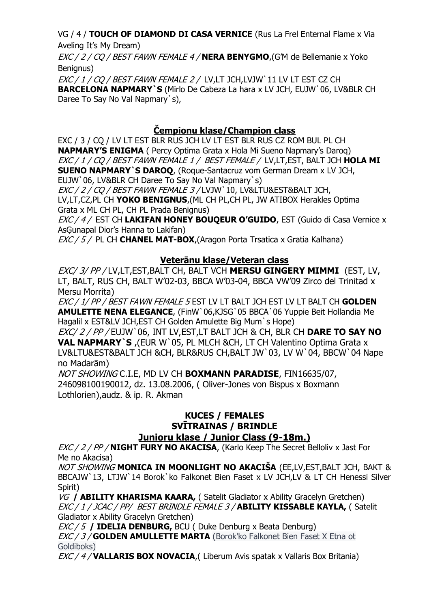# VG / 4 / **TOUCH OF DIAMOND DI CASA VERNICE** (Rus La Frel Enternal Flame x Via Aveling It's My Dream)

EXC / 2 / CQ / BEST FAWN FEMALE 4 / **NERA BENYGMO**,(G'M de Bellemanie x Yoko Benianus)

EXC / 1 / CQ / BEST FAWN FEMALE 2 /LV,LT JCH,LVJW`11 LV LT EST CZ CH **BARCELONA NAPMARY`S** (Mirlo De Cabeza La hara x LV JCH, EUJW`06, LV&BLR CH Daree To Say No Val Napmary`s),

# **Čempionu klase/Champion class**

EXC / 3 / CQ / LV LT EST BLR RUS JCH LV LT EST BLR RUS CZ ROM BUL PL CH **NAPMARY'S ENIGMA** ( Percy Optima Grata x Hola Mi Sueno Napmary's Daroq) EXC / 1 / CQ / BEST FAWN FEMALE 1 /BEST FEMALE / LV,LT,EST, BALT JCH **HOLA MI SUENO NAPMARY`S DAROQ**, (Roque-Santacruz vom German Dream x LV JCH, EUJW`06, LV&BLR CH Daree To Say No Val Napmary`s)

EXC / 2 / CO / BEST FAWN FEMALE 3 / LVJW 10, LV&LTU&EST&BALT JCH, LV,LT,CZ,PL CH **YOKO BENIGNUS**,(ML CH PL,CH PL, JW ATIBOX Herakles Optima Grata x ML CH PL, CH PL Prada Benignus)

EXC / 4 / EST CH **LAKIFAN HONEY BOUQEUR O'GUIDO**, EST (Guido di Casa Vernice x AsĢunapal Dior's Hanna to Lakifan)

EXC / 5 / PL CH **CHANEL MAT-BOX**,(Aragon Porta Trsatica x Gratia Kalhana)

# **Veterānu klase/Veteran class**

EXC/ 3/ PP / LV,LT,EST,BALT CH, BALT VCH **MERSU GINGERY MIMMI** (EST, LV, LT, BALT, RUS CH, BALT W'02-03, BBCA W'03-04, BBCA VW'09 Zirco del Trinitad x Mersu Morrita)

EXC / 1/ PP / BEST FAWN FEMALE 5 EST LV LT BALT JCH EST LV LT BALT CH **GOLDEN AMULETTE NENA ELEGANCE**, (FinW`06,KJSG`05 BBCA`06 Yuppie Beit Hollandia Me Hagalil x EST&LV JCH,EST CH Golden Amulette Big Mum`s Hope)

EXC/ 2 / PP / EUJW`06, INT LV,EST,LT BALT JCH & CH, BLR CH **DARE TO SAY NO VAL NAPMARY`S** ,(EUR W`05, PL MLCH &CH, LT CH Valentino Optima Grata x LV&LTU&EST&BALT JCH &CH, BLR&RUS CH, BALT JW`03, LV W`04, BBCW`04 Nape no Madarām)

NOT SHOWING C.I.E, MD LV CH **BOXMANN PARADISE**, FIN16635/07, 246098100190012, dz. 13.08.2006, ( Oliver-Jones von Bispus x Boxmann Lothlorien),audz. & ip. R. Akman

# **KUCES / FEMALES SVĪTRAINAS / BRINDLE Junioru klase / Junior Class (9-18m.)**

EXC / 2 / PP / **NIGHT FURY NO AKACISA**, (Karlo Keep The Secret Belloliv x Jast For Me no Akacisa)

NOT SHOWING **MONICA IN MOONLIGHT NO AKACIŠA** (EE,LV,EST,BALT JCH, BAKT & BBCAJW`13, LTJW`14 Borok`ko Falkonet Bien Faset x LV JCH,LV & LT CH Henessi Silver Spirit)

VG **/ ABILITY KHARISMA KAARA,** ( Satelit Gladiator x Ability Gracelyn Gretchen) EXC / 1 / JCAC / PP/ BEST BRINDLE FEMALE 3 / **ABILITY KISSABLE KAYLA,** ( Satelit Gladiator x Ability Gracelyn Gretchen)

EXC / 5 **/ IDELIA DENBURG,** BCU ( Duke Denburg x Beata Denburg)

EXC / 3 / **GOLDEN AMULLETTE MARTA** (Borok'ko Falkonet Bien Faset X Etna ot Goldiboks)

EXC / 4 / **VALLARIS BOX NOVACIA**,( Liberum Avis spatak x Vallaris Box Britania)